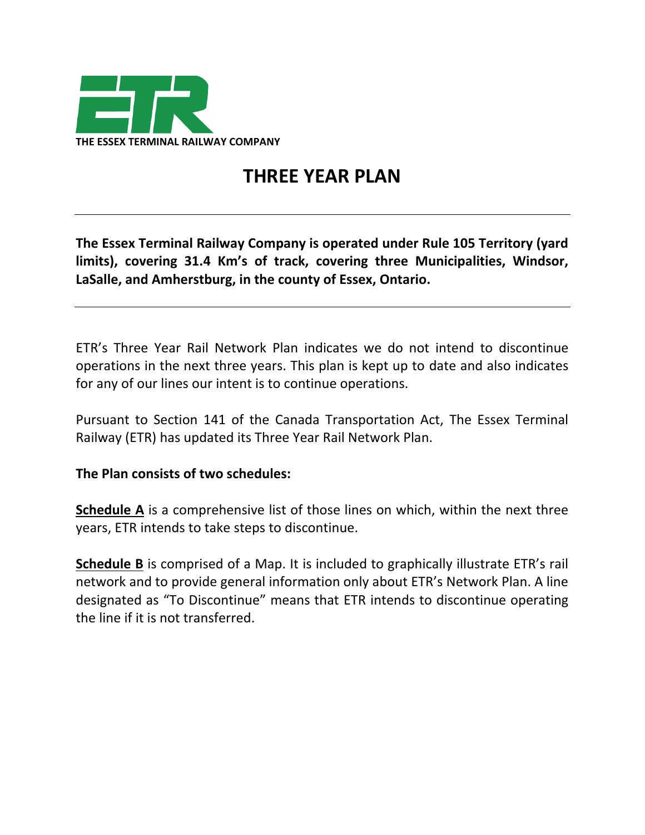

## **THREE YEAR PLAN**

**The Essex Terminal Railway Company is operated under Rule 105 Territory (yard limits), covering 31.4 Km's of track, covering three Municipalities, Windsor, LaSalle, and Amherstburg, in the county of Essex, Ontario.**

ETR's Three Year Rail Network Plan indicates we do not intend to discontinue operations in the next three years. This plan is kept up to date and also indicates for any of our lines our intent is to continue operations.

Pursuant to Section 141 of the Canada Transportation Act, The Essex Terminal Railway (ETR) has updated its Three Year Rail Network Plan.

## **The Plan consists of two schedules:**

**Schedule A** is a comprehensive list of those lines on which, within the next three years, ETR intends to take steps to discontinue.

**Schedule B** is comprised of a Map. It is included to graphically illustrate ETR's rail network and to provide general information only about ETR's Network Plan. A line designated as "To Discontinue" means that ETR intends to discontinue operating the line if it is not transferred.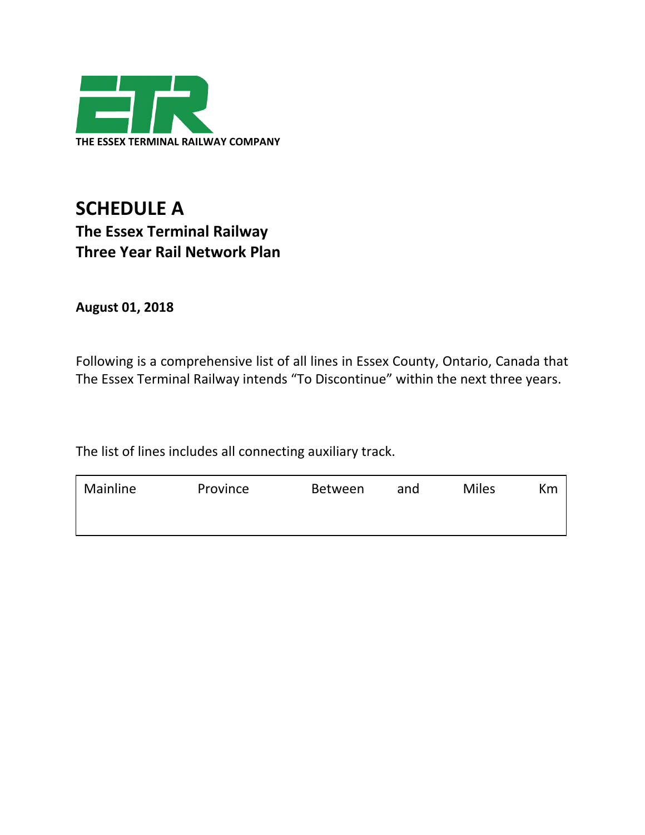

## **SCHEDULE A The Essex Terminal Railway Three Year Rail Network Plan**

**August 01, 2018**

Following is a comprehensive list of all lines in Essex County, Ontario, Canada that The Essex Terminal Railway intends "To Discontinue" within the next three years.

The list of lines includes all connecting auxiliary track.

| Mainline | Province | <b>Between</b> | and | <b>Miles</b> | Кm |
|----------|----------|----------------|-----|--------------|----|
|          |          |                |     |              |    |